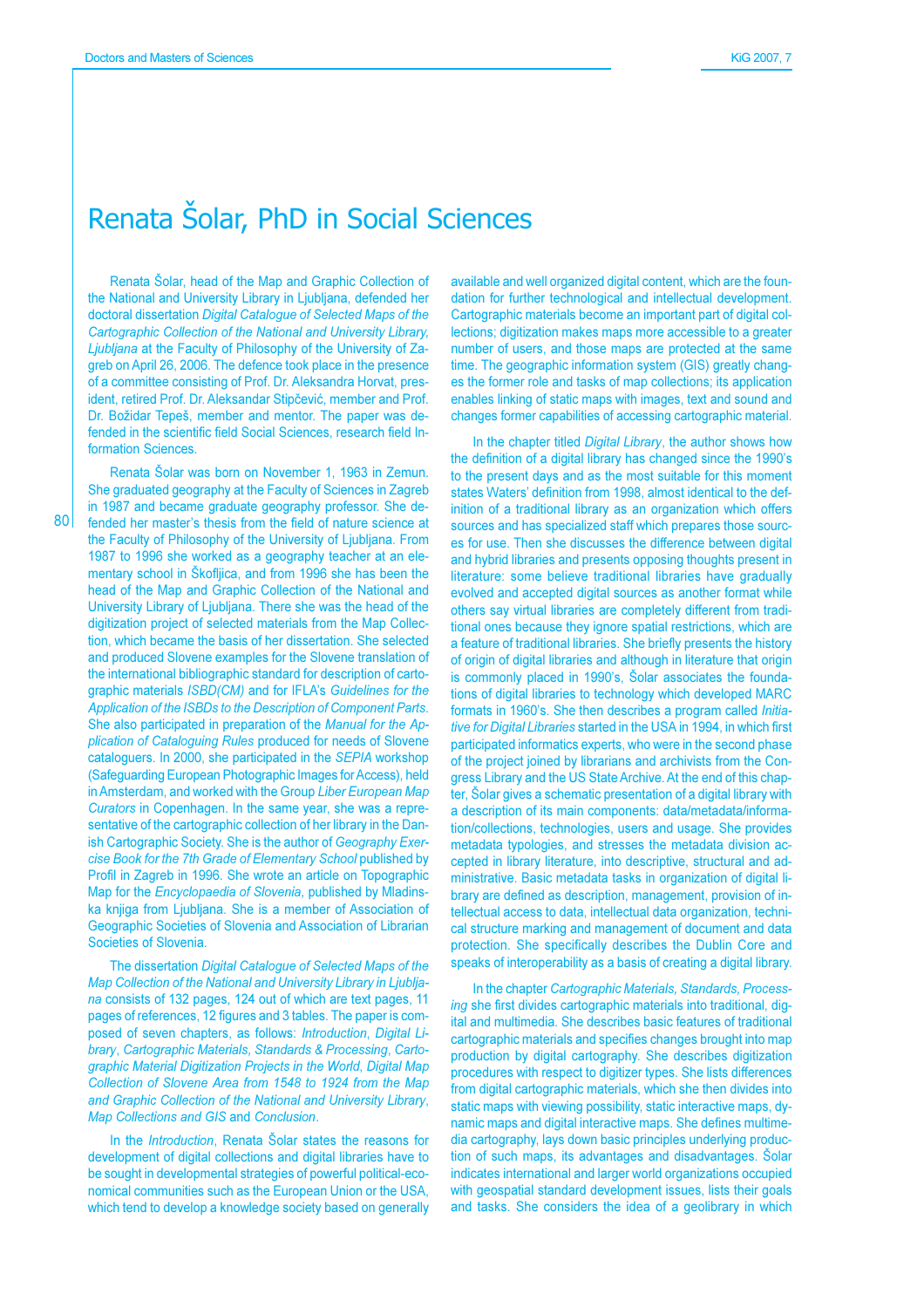801

## Renata Šolar, PhD in Social Sciences

Renata Šolar, head of the Map and Graphic Collection of the National and University Library in Ljubljana, defended her doctoral dissertation Digital Catalogue of Selected Maps of the Cartographic Collection of the National and University Library, Ljubljana at the Faculty of Philosophy of the University of Zagreb on April 26, 2006. The defence took place in the presence of a committee consisting of Prof. Dr. Aleksandra Horvat, president, retired Prof. Dr. Aleksandar Stipčević, member and Prof. Dr. Božidar Tepeš, member and mentor. The paper was defended in the scientific field Social Sciences, research field Information Sciences

Renata Šolar was born on November 1, 1963 in Zemun. She graduated geography at the Faculty of Sciences in Zagreb in 1987 and became graduate geography professor. She defended her master's thesis from the field of nature science at the Faculty of Philosophy of the University of Ljubljana. From 1987 to 1996 she worked as a geography teacher at an elementary school in Škofljica, and from 1996 she has been the head of the Map and Graphic Collection of the National and University Library of Ljubljana. There she was the head of the digitization project of selected materials from the Map Collection, which became the basis of her dissertation. She selected and produced Slovene examples for the Slovene translation of the international bibliographic standard for description of cartographic materials ISBD(CM) and for IFLA's Guidelines for the Application of the ISBDs to the Description of Component Parts. She also participated in preparation of the Manual for the Application of Cataloguing Rules produced for needs of Slovene cataloguers. In 2000, she participated in the SEPIA workshop (Safeguarding European Photographic Images for Access), held in Amsterdam, and worked with the Group Liber European Map Curators in Copenhagen. In the same year, she was a representative of the cartographic collection of her library in the Danish Cartographic Society. She is the author of Geography Exercise Book for the 7th Grade of Elementary School published by Profil in Zagreb in 1996. She wrote an article on Topographic Map for the Encyclopaedia of Slovenia, published by Mladinska knjiga from Ljubljana. She is a member of Association of Geographic Societies of Slovenia and Association of Librarian Societies of Slovenia.

The dissertation Digital Catalogue of Selected Maps of the Map Collection of the National and University Library in Ljubljana consists of 132 pages, 124 out of which are text pages, 11 pages of references, 12 figures and 3 tables. The paper is composed of seven chapters, as follows: Introduction, Digital Library. Cartographic Materials, Standards & Processing, Cartographic Material Digitization Projects in the World, Digital Map Collection of Slovene Area from 1548 to 1924 from the Map and Graphic Collection of the National and University Library, Map Collections and GIS and Conclusion.

In the Introduction, Renata Šolar states the reasons for development of digital collections and digital libraries have to be sought in developmental strategies of powerful political-economical communities such as the European Union or the USA. which tend to develop a knowledge society based on generally

available and well organized digital content, which are the foundation for further technological and intellectual development. Cartographic materials become an important part of digital collections; digitization makes maps more accessible to a greater number of users, and those maps are protected at the same time. The geographic information system (GIS) greatly changes the former role and tasks of map collections; its application enables linking of static maps with images, text and sound and changes former capabilities of accessing cartographic material.

In the chapter titled Digital Library, the author shows how the definition of a digital library has changed since the 1990's to the present days and as the most suitable for this moment states Waters' definition from 1998, almost identical to the definition of a traditional library as an organization which offers sources and has specialized staff which prepares those sources for use. Then she discusses the difference between digital and hybrid libraries and presents opposing thoughts present in literature: some believe traditional libraries have gradually evolved and accepted digital sources as another format while others say virtual libraries are completely different from traditional ones because they ignore spatial restrictions, which are a feature of traditional libraries. She briefly presents the history of origin of digital libraries and although in literature that origin is commonly placed in 1990's, Solar associates the foundations of digital libraries to technology which developed MARC formats in 1960's. She then describes a program called *Initia*tive for Digital Libraries started in the USA in 1994, in which first participated informatics experts, who were in the second phase of the project joined by librarians and archivists from the Congress Library and the US State Archive. At the end of this chapter. Šolar gives a schematic presentation of a digital library with a description of its main components: data/metadata/information/collections, technologies, users and usage. She provides metadata typologies, and stresses the metadata division accepted in library literature, into descriptive, structural and administrative. Basic metadata tasks in organization of digital library are defined as description, management, provision of intellectual access to data, intellectual data organization, technical structure marking and management of document and data protection. She specifically describes the Dublin Core and speaks of interoperability as a basis of creating a digital library.

In the chapter Cartographic Materials, Standards, Processing she first divides cartographic materials into traditional, digital and multimedia. She describes basic features of traditional cartographic materials and specifies changes brought into map production by digital cartography. She describes digitization procedures with respect to digitizer types. She lists differences from digital cartographic materials, which she then divides into static maps with viewing possibility, static interactive maps, dynamic maps and digital interactive maps. She defines multimedia cartography, lays down basic principles underlying production of such maps, its advantages and disadvantages. Šolar indicates international and larger world organizations occupied with geospatial standard development issues, lists their goals and tasks. She considers the idea of a geolibrary in which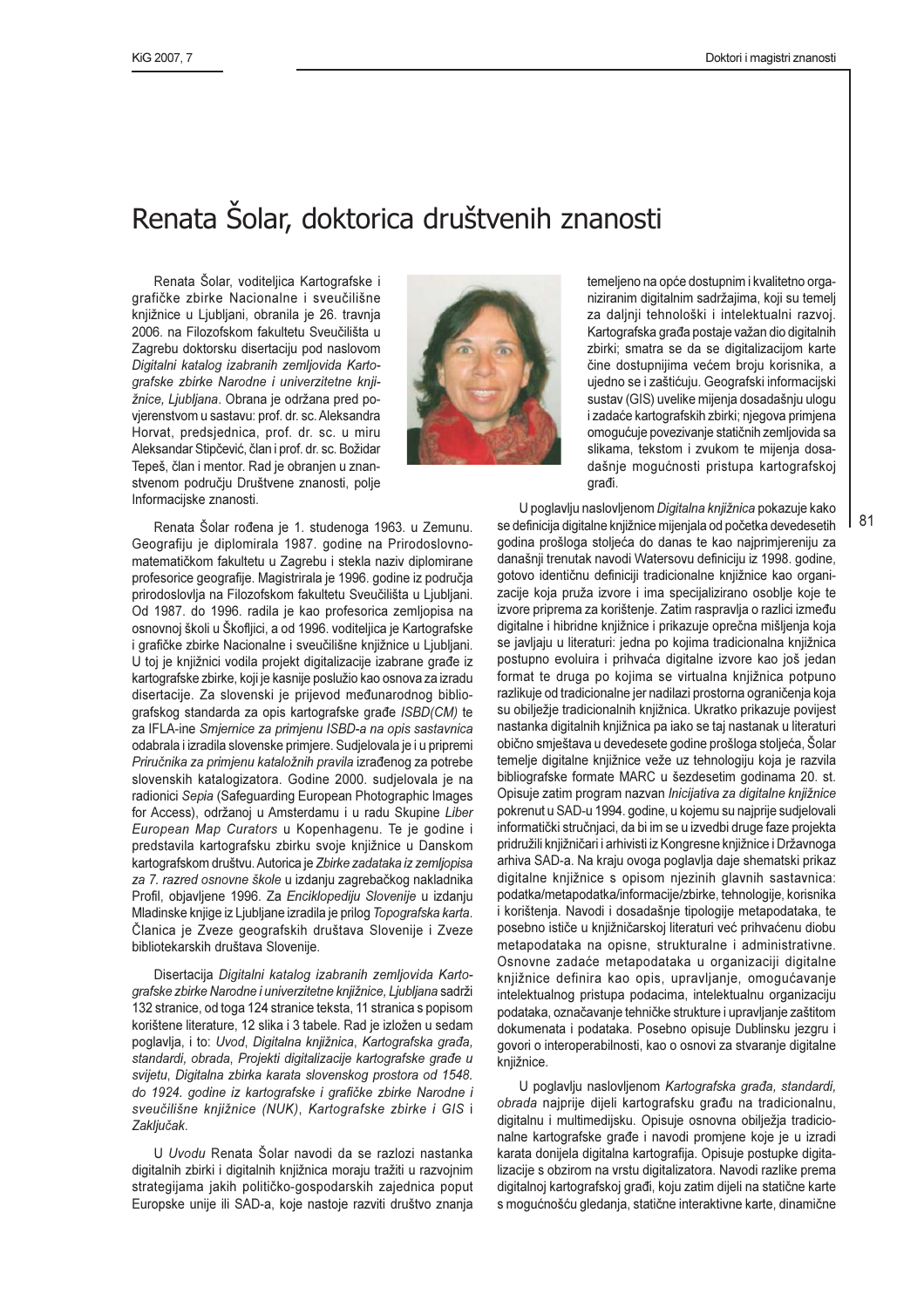## Renata Šolar, doktorica društvenih znanosti

Renata Šolar, voditeljica Kartografske i grafičke zbirke Nacionalne i sveučilišne knjižnice u Ljubljani, obranila je 26. travnja 2006. na Filozofskom fakultetu Sveučilišta u Zagrebu doktorsku disertaciju pod naslovom Digitalni katalog izabranih zemljovida Kartografske zbirke Narodne i univerzitetne knjižnice, Ljubljana. Obrana je održana pred povjerenstvom u sastavu: prof. dr. sc. Aleksandra Horvat, predsjednica, prof. dr. sc. u miru Aleksandar Stipčević, član i prof. dr. sc. Božidar Tepeš, član i mentor. Rad je obranjen u znanstvenom području Društvene znanosti, polje Informacijske znanosti.



Renata Šolar rođena je 1. studenoga 1963. u Zemunu. Geografiju je diplomirala 1987. godine na Prirodoslovnomatematičkom fakultetu u Zagrebu i stekla naziv diplomirane profesorice geografije. Magistrirala je 1996. godine iz područja prirodoslovlja na Filozofskom fakultetu Sveučilišta u Ljubljani. Od 1987. do 1996. radila je kao profesorica zemljopisa na osnovnoj školi u Škofljici, a od 1996. voditeljica je Kartografske i grafičke zbirke Nacionalne i sveučilišne knjižnice u Ljubljani. U toj je knjižnici vodila projekt digitalizacije izabrane građe iz kartografske zbirke, koji je kasnije poslužio kao osnova za izradu disertacije. Za slovenski je prijevod međunarodnog bibliografskog standarda za opis kartografske građe ISBD(CM) te za IFLA-ine Smjernice za primjenu ISBD-a na opis sastavnica odabrala i izradila slovenske primjere. Sudjelovala je i u pripremi Priručnika za primjenu kataložnih pravila izrađenog za potrebe slovenskih katalogizatora. Godine 2000. sudjelovala je na radionici Sepia (Safeguarding European Photographic Images for Access), održanoj u Amsterdamu i u radu Skupine Liber European Map Curators u Kopenhagenu. Te je godine i predstavila kartografsku zbirku svoje knjižnice u Danskom kartografskom društvu. Autorica je Zbirke zadataka iz zemljopisa za 7. razred osnovne škole u izdanju zagrebačkog nakladnika Profil, objavljene 1996. Za Enciklopediju Slovenije u izdanju Mladinske knjige iz Ljubljane izradila je prilog Topografska karta. Članica je Zveze geografskih društava Slovenije i Zveze bibliotekarskih društava Slovenije.

Disertacija Digitalni katalog izabranih zemljovida Kartografske zbirke Narodne i univerzitetne knjižnice, Ljubljana sadrži 132 stranice, od toga 124 stranice teksta, 11 stranica s popisom korištene literature, 12 slika i 3 tabele. Rad je izložen u sedam poglavlja, i to: Uvod, Digitalna knjižnica, Kartografska građa, standardi, obrada, Projekti digitalizacije kartografske građe u svijetu, Digitalna zbirka karata slovenskog prostora od 1548. do 1924. godine iz kartografske i grafičke zbirke Narodne i sveučilišne knjižnice (NUK), Kartografske zbirke i GIS i Zaključak.

U Uvodu Renata Šolar navodi da se razlozi nastanka digitalnih zbirki i digitalnih knjižnica moraju tražiti u razvojnim strategijama jakih političko-gospodarskih zajednica poput Europske unije ili SAD-a, koje nastoje razviti društvo znanja

temeljeno na opće dostupnim i kvalitetno organiziranim digitalnim sadržajima, koji su temelj za daljnji tehnološki i intelektualni razvoj. Kartografska građa postaje važan dio digitalnih zbirki; smatra se da se digitalizacijom karte čine dostupnijima većem broju korisnika, a ujedno se i zaštićuju. Geografski informacijski sustav (GIS) uvelike mijenja dosadašnju ulogu i zadaće kartografskih zbirki; njegova primjena omogućuje povezivanje statičnih zemljovida sa slikama, tekstom i zvukom te mijenja dosadašnje mogućnosti pristupa kartografskoj građi.

U poglavlju naslovljenom Digitalna knjižnica pokazuje kako se definicija digitalne knjižnice mijenjala od početka devedesetih godina prošloga stoljeća do danas te kao najprimjereniju za današnji trenutak navodi Watersovu definiciju iz 1998. godine, gotovo identičnu definiciji tradicionalne kniižnice kao organizacije koja pruža izvore i ima specijalizirano osoblje koje te izvore priprema za korištenje. Zatim raspravlja o razlici između digitalne i hibridne knjižnice i prikazuje oprečna mišljenja koja se javljaju u literaturi: jedna po kojima tradicionalna knjižnica postupno evoluira i prihvaća digitalne izvore kao još jedan format te druga po kojima se virtualna knjižnica potpuno razlikuje od tradicionalne jer nadilazi prostorna ograničenia koja su obilježje tradicionalnih knjižnica. Ukratko prikazuje povijest nastanka digitalnih knjižnica pa jako se taj nastanak u literaturi obično smještava u devedesete godine prošloga stoljeća, Šolar temelje digitalne knjižnice veže uz tehnologiju koja je razvila bibliografske formate MARC u šezdesetim godinama 20. st. Opisuje zatim program nazvan *Inicijativa za digitalne knjižnice* pokrenut u SAD-u 1994. godine, u kojemu su najprije sudjelovali informatički stručnjaci, da bi im se u izvedbi druge faze projekta pridružili knjižničari i arhivisti iz Kongresne knjižnice i Državnoga arhiva SAD-a. Na kraju ovoga poglavlja daje shematski prikaz digitalne knjižnice s opisom njezinih glavnih sastavnica: podatka/metapodatka/informacije/zbirke, tehnologije, korisnika i korištenja. Navodi i dosadašnje tipologije metapodataka, te posebno ističe u knjižničarskoj literaturi već prihvaćenu diobu metapodataka na opisne, strukturalne i administrativne. Osnovne zadaće metapodataka u organizaciji digitalne knjižnice definira kao opis, upravljanje, omogućavanje intelektualnog pristupa podacima, intelektualnu organizaciju podataka, označavanje tehničke strukture i upravljanje zaštitom dokumenata i podataka. Posebno opisuje Dublinsku jezgru i govori o interoperabilnosti, kao o osnovi za stvaranje digitalne knjižnice.

U poglavlju naslovljenom Kartografska građa, standardi, obrada naiprije dijeli kartografsku građu na tradicionalnu. digitalnu i multimedijsku. Opisuje osnovna obilježja tradicionalne kartografske građe i navodi promjene koje je u izradi karata donijela digitalna kartografija. Opisuje postupke digitalizacije s obzirom na vrstu digitalizatora. Navodi razlike prema digitalnoj kartografskoj građi, koju zatim dijeli na statične karte s mogućnošću gledanja, statične interaktivne karte, dinamične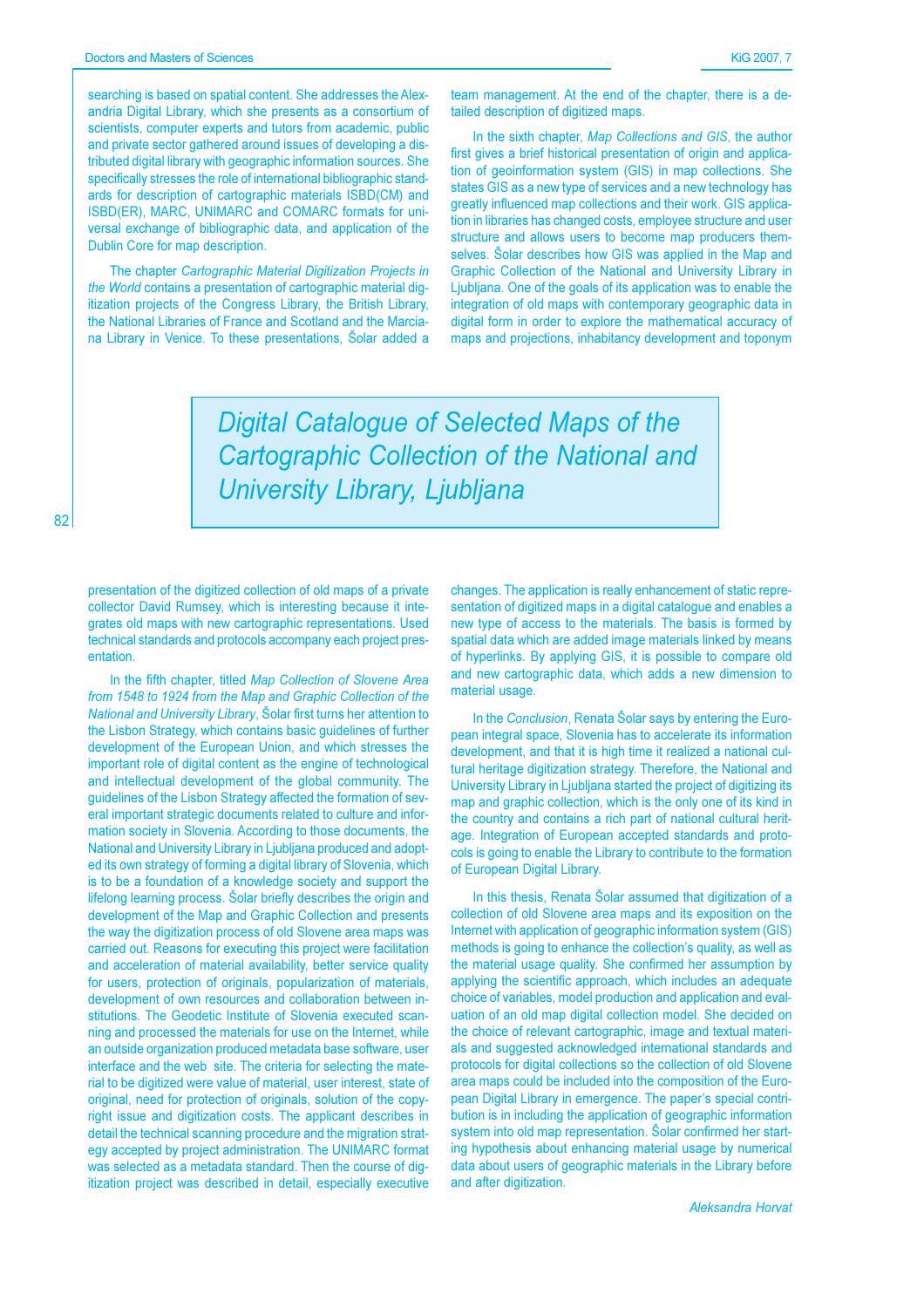82

searching is based on spatial content. She addresses the Alexandria Digital Library, which she presents as a consortium of scientists, computer experts and tutors from academic, public and private sector gathered around issues of developing a distributed digital library with geographic information sources. She specifically stresses the role of international bibliographic standards for description of cartographic materials ISBD(CM) and ISBD(ER), MARC, UNIMARC and COMARC formats for universal exchange of bibliographic data, and application of the Dublin Core for map description.

The chapter Cartographic Material Digitization Projects in the World contains a presentation of cartographic material digitization projects of the Congress Library, the British Library, the National Libraries of France and Scotland and the Marciana Library in Venice. To these presentations, Solar added a team management. At the end of the chapter, there is a detailed description of digitized maps.

In the sixth chapter, Map Collections and GIS, the author first gives a brief historical presentation of origin and application of geoinformation system (GIS) in map collections. She states GIS as a new type of services and a new technology has areatly influenced map collections and their work. GIS application in libraries has changed costs, employee structure and user structure and allows users to become map producers themselves. Šolar describes how GIS was applied in the Map and Graphic Collection of the National and University Library in Liubliana. One of the goals of its application was to enable the integration of old maps with contemporary geographic data in digital form in order to explore the mathematical accuracy of maps and projections, inhabitancy development and toponym

**Digital Catalogue of Selected Maps of the Cartographic Collection of the National and** University Library, Ljubljana

presentation of the digitized collection of old maps of a private collector David Rumsey, which is interesting because it integrates old maps with new cartographic representations. Used technical standards and protocols accompany each project presentation.

In the fifth chapter, titled Map Collection of Slovene Area from 1548 to 1924 from the Map and Graphic Collection of the National and University Library, Solar first turns her attention to the Lisbon Strategy, which contains basic guidelines of further development of the European Union, and which stresses the important role of digital content as the engine of technological and intellectual development of the global community. The quidelines of the Lisbon Strategy affected the formation of several important strategic documents related to culture and information society in Slovenia. According to those documents, the National and University Library in Ljubljana produced and adopted its own strategy of forming a digital library of Slovenia, which is to be a foundation of a knowledge society and support the lifelong learning process. Šolar briefly describes the origin and development of the Map and Graphic Collection and presents the way the digitization process of old Slovene area maps was carried out. Reasons for executing this project were facilitation and acceleration of material availability, better service quality for users, protection of originals, popularization of materials, development of own resources and collaboration between institutions. The Geodetic Institute of Slovenia executed scanning and processed the materials for use on the Internet, while an outside organization produced metadata base software, user interface and the web site. The criteria for selecting the material to be digitized were value of material, user interest, state of original, need for protection of originals, solution of the copyright issue and digitization costs. The applicant describes in detail the technical scanning procedure and the migration strategy accepted by project administration. The UNIMARC format was selected as a metadata standard. Then the course of digitization project was described in detail, especially executive

changes. The application is really enhancement of static representation of digitized maps in a digital catalogue and enables a new type of access to the materials. The basis is formed by spatial data which are added image materials linked by means of hyperlinks. By applying GIS, it is possible to compare old and new cartographic data, which adds a new dimension to material usage.

In the Conclusion, Renata Šolar says by entering the European integral space, Slovenia has to accelerate its information development, and that it is high time it realized a national cultural heritage digitization strategy. Therefore, the National and University Library in Ljubljana started the project of digitizing its map and graphic collection, which is the only one of its kind in the country and contains a rich part of national cultural heritage. Integration of European accepted standards and protocols is going to enable the Library to contribute to the formation of European Digital Library.

In this thesis. Renata Šolar assumed that digitization of a collection of old Slovene area maps and its exposition on the Internet with application of geographic information system (GIS) methods is going to enhance the collection's quality, as well as the material usage quality. She confirmed her assumption by applying the scientific approach, which includes an adequate choice of variables, model production and application and evaluation of an old map digital collection model. She decided on the choice of relevant cartographic, image and textual materials and suggested acknowledged international standards and protocols for digital collections so the collection of old Slovene area maps could be included into the composition of the European Digital Library in emergence. The paper's special contribution is in including the application of geographic information system into old map representation. Šolar confirmed her starting hypothesis about enhancing material usage by numerical data about users of geographic materials in the Library before and after digitization.